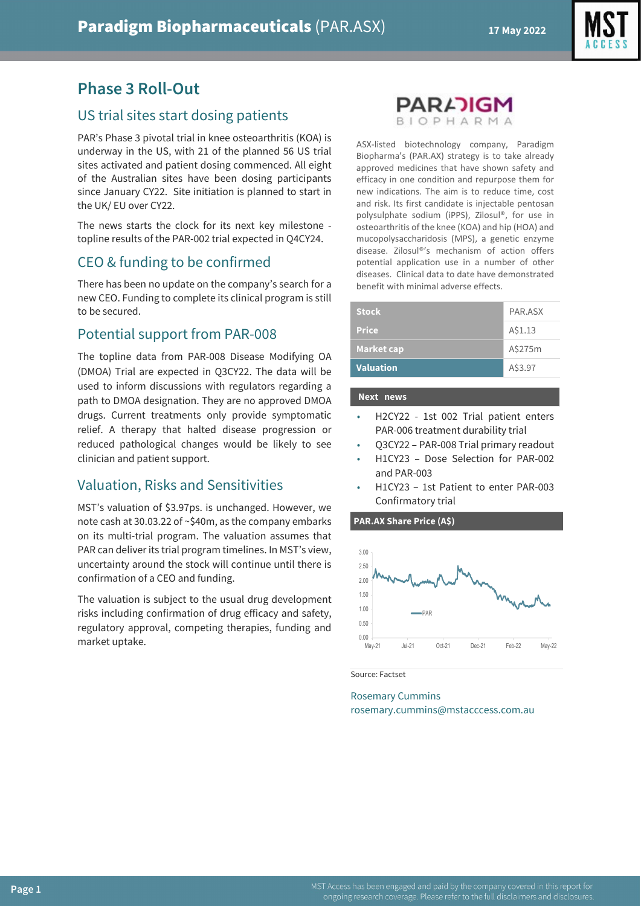



# **Phase 3 Roll-Out**

# US trial sites start dosing patients

PAR's Phase 3 pivotal trial in knee osteoarthritis (KOA) is underway in the US, with 21 of the planned 56 US trial sites activated and patient dosing commenced. All eight of the Australian sites have been dosing participants since January CY22. Site initiation is planned to start in the UK/ EU over CY22.

The news starts the clock for its next key milestone topline results of the PAR-002 trial expected in Q4CY24.

# CEO & funding to be confirmed

There has been no update on the company's search for a new CEO. Funding to complete its clinical program is still to be secured.

### Potential support from PAR-008

The topline data from PAR-008 Disease Modifying OA (DMOA) Trial are expected in Q3CY22. The data will be used to inform discussions with regulators regarding a path to DMOA designation. They are no approved DMOA drugs. Current treatments only provide symptomatic relief. A therapy that halted disease progression or reduced pathological changes would be likely to see clinician and patient support.

# Valuation, Risks and Sensitivities

MST's valuation of \$3.97ps. is unchanged. However, we note cash at 30.03.22 of ~\$40m, as the company embarks on its multi-trial program. The valuation assumes that PAR can deliver its trial program timelines. In MST's view, uncertainty around the stock will continue until there is confirmation of a CEO and funding.

The valuation is subject to the usual drug development risks including confirmation of drug efficacy and safety, regulatory approval, competing therapies, funding and market uptake.



ASX-listed biotechnology company, Paradigm Biopharma's (PAR.AX) strategy is to take already approved medicines that have shown safety and efficacy in one condition and repurpose them for new indications. The aim is to reduce time, cost and risk. Its first candidate is injectable pentosan polysulphate sodium (iPPS), Zilosul®, for use in osteoarthritis of the knee (KOA) and hip (HOA) and mucopolysaccharidosis (MPS), a genetic enzyme disease. Zilosul®'s mechanism of action offers potential application use in a number of other diseases. Clinical data to date have demonstrated benefit with minimal adverse effects.

| <b>Valuation</b>  | A\$3.97 |
|-------------------|---------|
| <b>Market cap</b> | A\$275m |
| <b>Price</b>      | A\$1.13 |
| <b>Stock</b>      | PAR.ASX |

#### **Next news**

- H2CY22 1st 002 Trial patient enters PAR-006 treatment durability trial
- Q3CY22 PAR-008 Trial primary readout
- H1CY23 Dose Selection for PAR-002 and PAR-003
- H1CY23 1st Patient to enter PAR-003 Confirmatory trial

**PAR.AX Share Price (A\$)**



Source: Factset

Rosemary Cummins rosemary.cummins@mstacccess.com.au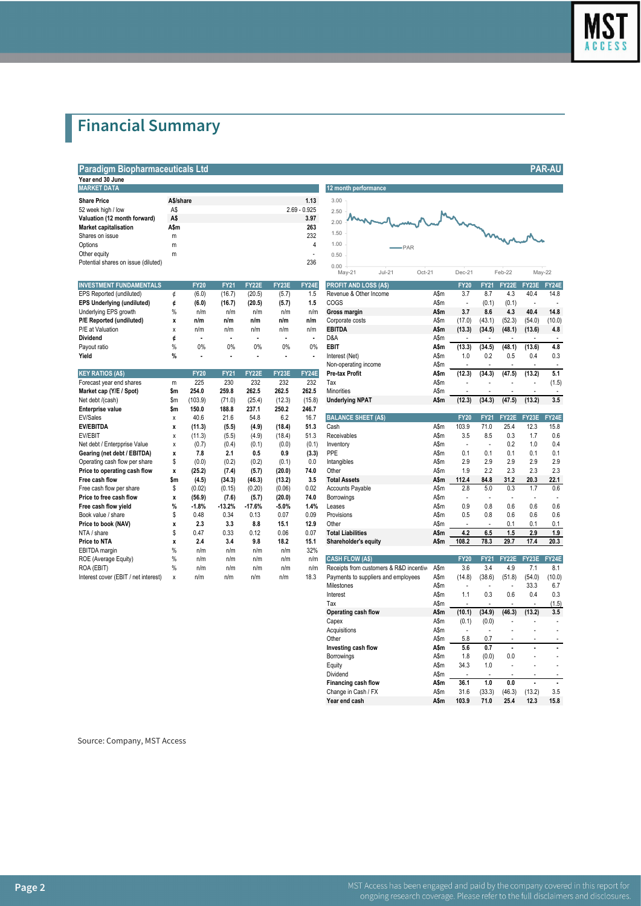

# **Financial Summary**

**Paradigm Biopharmaceuticals Ltd PAR-AU**

| Year end 30 June                    |           |                |                      |
|-------------------------------------|-----------|----------------|----------------------|
| <b>MARKET DATA</b>                  |           |                | 12 month performance |
| <b>Share Price</b>                  | A\$/share | 1.13           | 3.00                 |
| 52 week high / low                  | A\$       | $2.69 - 0.925$ | 2.50                 |
| Valuation (12 month forward)        | A\$       | 3.97           | mon<br>2.00          |
| <b>Market capitalisation</b>        | A\$m      | 263            |                      |
| Shares on issue                     | m         | 232            | 1.50                 |
| Options                             | m         | 4              | 1.00<br>۰            |
| Other equity                        | m         | ٠              | 0.50                 |
| Potential shares on issue (diluted) |           | 236            | 0.00                 |

| <b>INVESTMENT FUNDAMENTALS</b>    |               | <b>FY20</b> | <b>FY21</b> | FY22E  | <b>FY23E</b> | FY24E | <b>PROFIT AND LOSS (AS)</b> |      | <b>FY20</b>              | <b>FY21</b>    |        | FY22E FY23E | <b>FY24</b> |
|-----------------------------------|---------------|-------------|-------------|--------|--------------|-------|-----------------------------|------|--------------------------|----------------|--------|-------------|-------------|
| EPS Reported (undiluted)          |               | (6.0)       | (16.7)      | (20.5) | (5.7)        | 1.5   | Revenue & Other Income      | A\$m | 3.7                      | 8.7            | 4.3    | 40.4        | 14.8        |
| <b>EPS Underlying (undiluted)</b> |               | (6.0)       | (16.7)      | (20.5) | (5.7)        | l.5   | COGS                        | A\$m | $\overline{\phantom{a}}$ | (0.1)          | (0.1)  |             |             |
| Underlying EPS growth             |               | n/m         | n/m         | n/m    | n/m          | n/m   | Gross margin                | A\$m | 3.7                      | 8.6            | 4.3    | 40.4        | 14.8        |
| P/E Reported (undiluted)          |               | n/m         | n/m         | n/m    | n/m          | n/m   | Corporate costs             | A\$m | (17.0)                   | (43.1)         | (52.3) | (54.0)      | (10.0)      |
| P/E at Valuation                  |               | n/m         | n/m         | n/m    | n/m          | n/m   | <b>EBITDA</b>               | A\$m | (13.3)                   | (34.5)         | (48.1) | (13.6)      | 4.8         |
| <b>Dividend</b>                   |               |             |             |        |              |       | D&A                         | A\$m |                          |                |        |             |             |
| Payout ratio                      | %             | 0%          | 0%          | $0\%$  | 0%           | 0%    | EBIT                        | A\$m | (13.3)                   | (34.5)         | (48.1) | (13.6)      | 4.8         |
| Vield                             | $\frac{0}{6}$ |             |             |        |              |       | Interest (Net)              | ASm  | 1 በ                      | 0 <sup>2</sup> | 05     | $0\Delta$   | n 3         |

|                                      |      |             |             |              |         |        | non oporaang moonio                     |      |                          |             |              |              |             |
|--------------------------------------|------|-------------|-------------|--------------|---------|--------|-----------------------------------------|------|--------------------------|-------------|--------------|--------------|-------------|
| <b>KEY RATIOS (A\$)</b>              |      | <b>FY20</b> | <b>FY21</b> | <b>FY22E</b> | FY23E   | FY24E  | <b>Pre-tax Profit</b>                   | A\$m | (12.3)                   | (34.3)      | (47.5)       | (13.2)       | 5.1         |
| Forecast year end shares             | m    | 225         | 230         | 232          | 232     | 232    | Tax                                     | A\$m |                          |             |              |              | (1.5)       |
| Market cap (Y/E / Spot)              | \$m  | 254.0       | 259.8       | 262.5        | 262.5   | 262.5  | <b>Minorities</b>                       | A\$m |                          |             |              |              |             |
| Net debt /(cash)                     | \$m  | (103.9)     | (71.0)      | (25.4)       | (12.3)  | (15.8) | <b>Underlying NPAT</b>                  | A\$m | (12.3)                   | (34.3)      | (47.5)       | (13.2)       | 3.5         |
| Enterprise value                     | Sm   | 150.0       | 188.8       | 237.1        | 250.2   | 246.7  |                                         |      |                          |             |              |              |             |
| EV/Sales                             | x    | 40.6        | 21.6        | 54.8         | 6.2     | 16.7   | <b>BALANCE SHEET (A\$)</b>              |      | <b>FY20</b>              | <b>FY21</b> | FY22E        | <b>FY23E</b> | <b>FY24</b> |
| <b>EV/EBITDA</b>                     | x    | (11.3)      | (5.5)       | (4.9)        | (18.4)  | 51.3   | Cash                                    | A\$m | 103.9                    | 71.0        | 25.4         | 12.3         | 15.8        |
| <b>EV/EBIT</b>                       | x    | (11.3)      | (5.5)       | (4.9)        | (18.4)  | 51.3   | Receivables                             | A\$m | 3.5                      | 8.5         | 0.3          | 1.7          | 0.6         |
| Net debt / Enterpprise Value         | x    | (0.7)       | (0.4)       | (0.1)        | (0.0)   | (0.1)  | Inventory                               | A\$m | ٠                        |             | 0.2          | 1.0          | 0.4         |
| Gearing (net debt / EBITDA)          | x    | 7.8         | 2.1         | 0.5          | 0.9     | (3.3)  | <b>PPE</b>                              | A\$m | 0.1                      | 0.1         | 0.1          | 0.1          | 0.1         |
| Operating cash flow per share        | \$   | (0.0)       | (0.2)       | (0.2)        | (0.1)   | 0.0    | Intangibles                             | A\$m | 2.9                      | 2.9         | 2.9          | 2.9          | 2.9         |
| Price to operating cash flow         | x    | (25.2)      | (7.4)       | (5.7)        | (20.0)  | 74.0   | Other                                   | A\$m | 1.9                      | 2.2         | 2.3          | 2.3          | 2.3         |
| Free cash flow                       | \$m  | (4.5)       | (34.3)      | (46.3)       | (13.2)  | 3.5    | <b>Total Assets</b>                     | A\$m | 112.4                    | 84.8        | 31.2         | 20.3         | 22.1        |
| Free cash flow per share             | S    | (0.02)      | (0.15)      | (0.20)       | (0.06)  | 0.02   | <b>Accounts Payable</b>                 | A\$m | 2.8                      | 5.0         | 0.3          | 1.7          | 0.6         |
| Price to free cash flow              | x    | (56.9)      | (7.6)       | (5.7)        | (20.0)  | 74.0   | Borrowings                              | A\$m |                          |             |              |              |             |
| Free cash flow yield                 | %    | $-1.8%$     | $-13.2%$    | $-17.6%$     | $-5.0%$ | 1.4%   | Leases                                  | A\$m | 0.9                      | 0.8         | 0.6          | 0.6          | 0.6         |
| Book value / share                   |      | 0.48        | 0.34        | 0.13         | 0.07    | 0.09   | Provisions                              | A\$m | 0.5                      | 0.8         | 0.6          | 0.6          | 0.6         |
| Price to book (NAV)                  |      | 2.3         | 3.3         | 8.8          | 15.1    | 12.9   | Other                                   | A\$m | $\overline{\phantom{a}}$ |             | 0.1          | 0.1          | 0.1         |
| NTA / share                          |      | 0.47        | 0.33        | 0.12         | 0.06    | 0.07   | <b>Total Liabilities</b>                | A\$m | 4.2                      | 6.5         | 1.5          | 2.9          | 1.9         |
| Price to NTA                         |      | 2.4         | 3.4         | 9.8          | 18.2    | 15.1   | Shareholder's equity                    | A\$m | 108.2                    | 78.3        | 29.7         | 17.4         | 20.3        |
| EBITDA margin                        | %    | n/m         | n/m         | n/m          | n/m     | 32%    |                                         |      |                          |             |              |              |             |
| ROE (Average Equity)                 | %    | n/m         | n/m         | n/m          | n/m     | n/m    | <b>CASH FLOW (A\$)</b>                  |      | <b>FY20</b>              | <b>FY21</b> | <b>FY22E</b> | FY23E        | <b>FY24</b> |
| ROA (EBIT)                           | $\%$ | n/m         | n/m         | n/m          | n/m     | n/m    | Receipts from customers & R&D incentive | A\$m | 3.6                      | 3.4         | 4.9          | 7.1          | 8.1         |
| Interest cover (EBIT / net interest) | x    | n/m         | n/m         | n/m          | n/m     | 18.3   | Payments to suppliers and employees     | A\$m | (14.8)                   | (38.6)      | (51.8)       | (54.0)       | (10.0)      |

| 5∠ week nign / iow                                         | AΦ                 |                      |                       |                 | 2.0Y                     | ∪.⊎∠ວ                    | 2.50                                                   |      |                          |                    |                     |                      |                          |
|------------------------------------------------------------|--------------------|----------------------|-----------------------|-----------------|--------------------------|--------------------------|--------------------------------------------------------|------|--------------------------|--------------------|---------------------|----------------------|--------------------------|
| Valuation (12 month forward)                               | A\$                |                      |                       |                 |                          | 3.97                     | 2.00                                                   |      |                          |                    |                     |                      |                          |
| Market capitalisation                                      | A\$m               |                      |                       |                 |                          | 263                      | 1.50                                                   |      |                          | mannan             |                     |                      |                          |
| Shares on issue                                            | m                  |                      |                       |                 |                          | 232                      |                                                        |      |                          |                    |                     |                      |                          |
| Options                                                    | m                  |                      |                       |                 |                          | 4                        | 1.00<br>PAR                                            |      |                          |                    |                     |                      |                          |
| Other equity                                               | m                  |                      |                       |                 |                          | $\blacksquare$           | 0.50                                                   |      |                          |                    |                     |                      |                          |
| Potential shares on issue (diluted)                        |                    |                      |                       |                 |                          | 236                      | 0.00<br>$Jul-21$<br>Oct-21<br>May-21                   |      | Dec-21                   |                    | Feb-22              | May-22               |                          |
|                                                            |                    |                      |                       |                 |                          |                          |                                                        |      |                          |                    |                     |                      |                          |
| <b>INVESTMENT FUNDAMENTALS</b><br>EPS Reported (undiluted) | ¢                  | <b>FY20</b><br>(6.0) | <b>FY21</b><br>(16.7) | FY22E<br>(20.5) | FY23E<br>(5.7)           | FY24E<br>1.5             | <b>PROFIT AND LOSS (A\$)</b><br>Revenue & Other Income | A\$m | <b>FY20</b><br>3.7       | <b>FY21</b><br>8.7 | <b>FY22E</b><br>4.3 | FY23E<br>40.4        | FY24E<br>14.8            |
| <b>EPS Underlying (undiluted)</b>                          | ¢                  | (6.0)                | (16.7)                | (20.5)          | (5.7)                    | 1.5                      | COGS                                                   | A\$m | ÷,                       | (0.1)              | (0.1)               |                      |                          |
| Underlying EPS growth                                      | %                  | n/m                  | n/m                   | n/m             | n/m                      | n/m                      | <b>Gross margin</b>                                    | A\$m | 3.7                      | 8.6                | 4.3                 | 40.4                 | 14.8                     |
| P/E Reported (undiluted)                                   |                    | n/m                  | n/m                   | n/m             | n/m                      | n/m                      | Corporate costs                                        | A\$m | (17.0)                   | (43.1)             | (52.3)              | (54.0)               | (10.0)                   |
| P/E at Valuation                                           | X<br>Χ             | n/m                  | n/m                   | n/m             | n/m                      | n/m                      | <b>EBITDA</b>                                          | A\$m | (13.3)                   | (34.5)             | (48.1)              | (13.6)               | 4.8                      |
| Dividend                                                   | ¢                  |                      | $\blacksquare$        | ٠               | $\overline{\phantom{a}}$ | $\overline{\phantom{a}}$ | D&A                                                    | A\$m |                          |                    |                     |                      | $\overline{\phantom{a}}$ |
| Payout ratio                                               | $\%$               | 0%                   | 0%                    | 0%              | 0%                       | 0%                       | EBIT                                                   | A\$m | (13.3)                   | (34.5)             | (48.1)              | (13.6)               | 4.8                      |
| Yield                                                      | $\%$               |                      |                       |                 |                          |                          | Interest (Net)                                         | A\$m | 1.0                      | 0.2                | 0.5                 | 0.4                  | 0.3                      |
|                                                            |                    |                      |                       |                 |                          |                          | Non-operating income                                   | A\$m |                          |                    |                     |                      |                          |
| <b>KEY RATIOS (A\$)</b>                                    |                    | <b>FY20</b>          | <b>FY21</b>           | FY22E           | FY23E                    | FY24E                    | <b>Pre-tax Profit</b>                                  | A\$m | (12.3)                   | (34.3)             | (47.5)              | (13.2)               | 5.1                      |
| Forecast year end shares                                   | m                  | 225                  | 230                   | 232             | 232                      | 232                      | Tax                                                    | A\$m |                          |                    |                     |                      | (1.5)                    |
| Market cap (Y/E / Spot)                                    | \$m                | 254.0                | 259.8                 | 262.5           | 262.5                    | 262.5                    | Minorities                                             | A\$m |                          |                    |                     |                      |                          |
| Net debt /(cash)                                           | \$m                | (103.9)              | (71.0)                | (25.4)          | (12.3)                   | (15.8)                   | <b>Underlying NPAT</b>                                 | A\$m | (12.3)                   | (34.3)             | (47.5)              | (13.2)               | 3.5                      |
| <b>Enterprise value</b>                                    | \$m                | 150.0                | 188.8                 | 237.1           | 250.2                    | 246.7                    |                                                        |      |                          |                    |                     |                      |                          |
| EV/Sales                                                   | X                  | 40.6                 | 21.6                  | 54.8            | 6.2                      | 16.7                     | <b>BALANCE SHEET (A\$)</b>                             |      | <b>FY20</b>              | <b>FY21</b>        | FY22E               | FY23E                | FY24E                    |
| EV/EBITDA                                                  | x                  | (11.3)               | (5.5)                 | (4.9)           | (18.4)                   | 51.3                     | Cash                                                   | A\$m | 103.9                    | 71.0               | 25.4                | 12.3                 | 15.8                     |
| EV/EBIT                                                    | X                  | (11.3)               | (5.5)                 | (4.9)           | (18.4)                   | 51.3                     | Receivables                                            | A\$m | 3.5                      | 8.5                | 0.3                 | 1.7                  | 0.6                      |
| Net debt / Enterpprise Value                               | Χ                  | (0.7)                | (0.4)                 | (0.1)           | (0.0)                    | (0.1)                    | Inventory                                              | A\$m |                          |                    | 0.2                 | 1.0                  | 0.4                      |
| Gearing (net debt / EBITDA)                                | X                  | 7.8                  | 2.1                   | 0.5             | 0.9                      | (3.3)                    | PPE                                                    | A\$m | 0.1                      | 0.1                | 0.1                 | 0.1                  | 0.1                      |
| Operating cash flow per share                              | \$                 | (0.0)                | (0.2)                 | (0.2)           | (0.1)                    | 0.0                      | Intangibles                                            | A\$m | 2.9                      | 2.9                | 2.9                 | 2.9                  | 2.9                      |
| Price to operating cash flow                               | $\pmb{\mathsf{x}}$ | (25.2)               | (7.4)                 | (5.7)           | (20.0)                   | 74.0                     | Other                                                  | A\$m | 1.9                      | 2.2                | 2.3                 | 2.3                  | 2.3                      |
| Free cash flow                                             | \$m                | (4.5)                | (34.3)                | (46.3)          | (13.2)                   | 3.5                      | <b>Total Assets</b>                                    | A\$m | 112.4                    | 84.8               | 31.2                | 20.3                 | 22.1                     |
| Free cash flow per share                                   | \$                 | (0.02)               | (0.15)                | (0.20)          | (0.06)                   | 0.02                     | <b>Accounts Payable</b>                                | A\$m | 2.8                      | 5.0                | 0.3                 | 1.7                  | 0.6                      |
| Price to free cash flow                                    | x                  | (56.9)               | (7.6)                 | (5.7)           | (20.0)                   | 74.0                     | Borrowings                                             | A\$m | ł,                       | Ĭ.                 | ÷,                  |                      | ÷,                       |
| Free cash flow yield                                       | %                  | $-1.8%$              | $-13.2%$              | $-17.6%$        | $-5.0%$                  | 1.4%                     | Leases                                                 | A\$m | 0.9                      | 0.8                | 0.6                 | 0.6                  | 0.6                      |
| Book value / share                                         | \$                 | 0.48                 | 0.34                  | 0.13            | 0.07                     | 0.09                     | Provisions                                             | A\$m | 0.5                      | 0.8                | 0.6                 | 0.6                  | 0.6                      |
| Price to book (NAV)                                        | X                  | 2.3                  | 3.3                   | 8.8             | 15.1                     | 12.9                     | Other                                                  | A\$m | J.                       |                    | 0.1                 | 0.1                  | 0.1                      |
| NTA / share                                                | \$                 | 0.47                 | 0.33                  | 0.12            | 0.06                     | 0.07                     | <b>Total Liabilities</b>                               | A\$m | 4.2                      | 6.5                | 1.5                 | 2.9                  | 1.9                      |
| Price to NTA                                               | X                  | 2.4                  | 3.4                   | 9.8             | 18.2                     | 15.1                     | Shareholder's equity                                   | A\$m | 108.2                    | 78.3               | 29.7                | 17.4                 | 20.3                     |
| EBITDA margin                                              | $\%$               | n/m                  | n/m                   | n/m             | n/m                      | 32%                      |                                                        |      |                          |                    |                     |                      |                          |
| ROE (Average Equity)                                       | %                  | n/m                  | n/m                   | n/m             | n/m                      | n/m                      | <b>CASH FLOW (A\$)</b>                                 |      | <b>FY20</b>              | <b>FY21</b>        | FY22E               | FY23E                | FY24E                    |
| ROA (EBIT)                                                 | %                  | n/m                  | n/m                   | n/m             | n/m                      | n/m                      | Receipts from customers & R&D incentive                | A\$m | 3.6                      | 3.4                | 4.9                 | 7.1                  | 8.1                      |
| Interest cover (EBIT / net interest)                       | $\mathsf{x}$       | n/m                  | n/m                   | n/m             | n/m                      | 18.3                     | Payments to suppliers and employees                    | A\$m | (14.8)                   | (38.6)             | (51.8)              | (54.0)               | (10.0)                   |
|                                                            |                    |                      |                       |                 |                          |                          | Milestones                                             | A\$m |                          |                    |                     | 33.3                 | 6.7                      |
|                                                            |                    |                      |                       |                 |                          |                          | Interest                                               | A\$m | 1.1                      | 0.3                | 0.6                 | 0.4                  | 0.3                      |
|                                                            |                    |                      |                       |                 |                          |                          | Tax                                                    | A\$m |                          |                    |                     |                      | (1.5)                    |
|                                                            |                    |                      |                       |                 |                          |                          | Operating cash flow                                    | A\$m | (10.1)                   | (34.9)             | (46.3)              | (13.2)               | 3.5                      |
|                                                            |                    |                      |                       |                 |                          |                          | Capex                                                  | A\$m | (0.1)                    | (0.0)              | ÷,                  |                      |                          |
|                                                            |                    |                      |                       |                 |                          |                          | Acquisitions                                           | A\$m | $\overline{\phantom{a}}$ | ÷.                 | L.                  | ÷.                   |                          |
|                                                            |                    |                      |                       |                 |                          |                          | Other                                                  | A\$m | 5.8                      | 0.7                |                     |                      |                          |
|                                                            |                    |                      |                       |                 |                          |                          | Investing cash flow                                    | A\$m | 5.6                      | 0.7                |                     |                      |                          |
|                                                            |                    |                      |                       |                 |                          |                          | Borrowings                                             | A\$m | 1.8                      | (0.0)              | 0.0                 |                      |                          |
|                                                            |                    |                      |                       |                 |                          |                          | Equity                                                 | A\$m | 34.3                     | 1.0                | ÷,                  |                      |                          |
|                                                            |                    |                      |                       |                 |                          |                          | Dividend                                               | A\$m | ÷,                       |                    | $\overline{a}$      | $\ddot{\phantom{1}}$ |                          |
|                                                            |                    |                      |                       |                 |                          |                          | Financing cash flow                                    | A\$m | 36.1                     | 1.0                | 0.0                 | $\ddot{\phantom{a}}$ | ä,                       |
|                                                            |                    |                      |                       |                 |                          |                          | Change in Cash / FX                                    | A\$m | 31.6                     | (33.3)             | (46.3)              | (13.2)               | 3.5                      |
|                                                            |                    |                      |                       |                 |                          |                          | Year end cash                                          | A\$m | 103.9                    | 71.0               | 25.4                | 12.3                 | 15.8                     |
|                                                            |                    |                      |                       |                 |                          |                          |                                                        |      |                          |                    |                     |                      |                          |

Source: Company, MST Access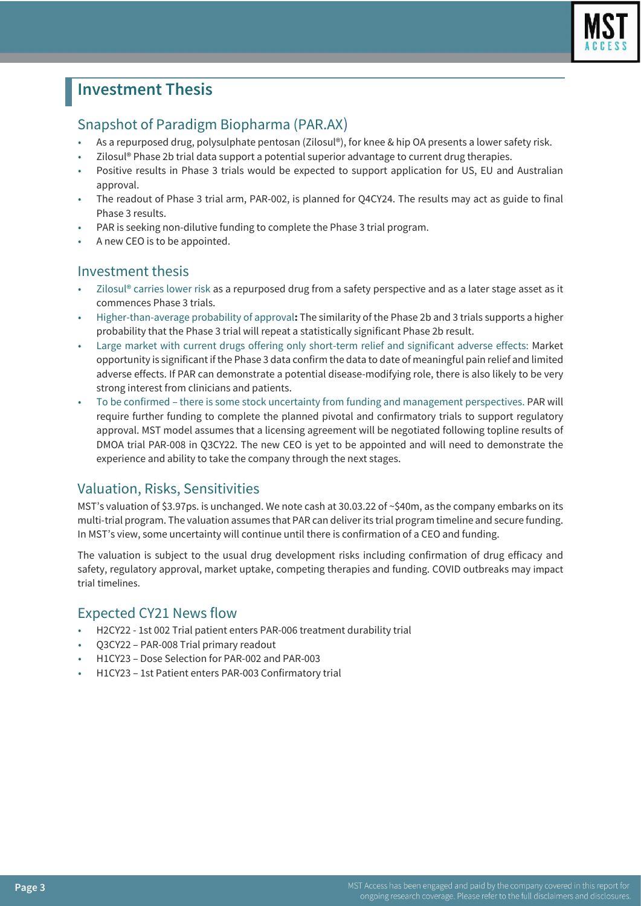

# **Investment Thesis**

# Snapshot of Paradigm Biopharma (PAR.AX)

- As a repurposed drug, polysulphate pentosan (Zilosul®), for knee & hip OA presents a lower safety risk.
- Zilosul® Phase 2b trial data support a potential superior advantage to current drug therapies.
- Positive results in Phase 3 trials would be expected to support application for US, EU and Australian approval.
- The readout of Phase 3 trial arm, PAR-002, is planned for Q4CY24. The results may act as guide to final Phase 3 results.
- PAR is seeking non-dilutive funding to complete the Phase 3 trial program.
- A new CEO is to be appointed.

### Investment thesis

- Zilosul® carries lower risk as a repurposed drug from a safety perspective and as a later stage asset as it commences Phase 3 trials.
- Higher-than-average probability of approval**:** The similarity of the Phase 2b and 3 trials supports a higher probability that the Phase 3 trial will repeat a statistically significant Phase 2b result.
- Large market with current drugs offering only short-term relief and significant adverse effects: Market opportunity is significant if the Phase 3 data confirm the data to date of meaningful pain relief and limited adverse effects. If PAR can demonstrate a potential disease-modifying role, there is also likely to be very strong interest from clinicians and patients.
- To be confirmed there is some stock uncertainty from funding and management perspectives. PAR will require further funding to complete the planned pivotal and confirmatory trials to support regulatory approval. MST model assumes that a licensing agreement will be negotiated following topline results of DMOA trial PAR-008 in Q3CY22. The new CEO is yet to be appointed and will need to demonstrate the experience and ability to take the company through the next stages.

# Valuation, Risks, Sensitivities

MST's valuation of \$3.97ps. is unchanged. We note cash at 30.03.22 of ~\$40m, as the company embarks on its multi-trial program. The valuation assumes that PAR can deliver its trial program timeline and secure funding. In MST's view, some uncertainty will continue until there is confirmation of a CEO and funding.

The valuation is subject to the usual drug development risks including confirmation of drug efficacy and safety, regulatory approval, market uptake, competing therapies and funding. COVID outbreaks may impact trial timelines.

# Expected CY21 News flow

- H2CY22 1st 002 Trial patient enters PAR-006 treatment durability trial
- Q3CY22 PAR-008 Trial primary readout
- H1CY23 Dose Selection for PAR-002 and PAR-003
- H1CY23 1st Patient enters PAR-003 Confirmatory trial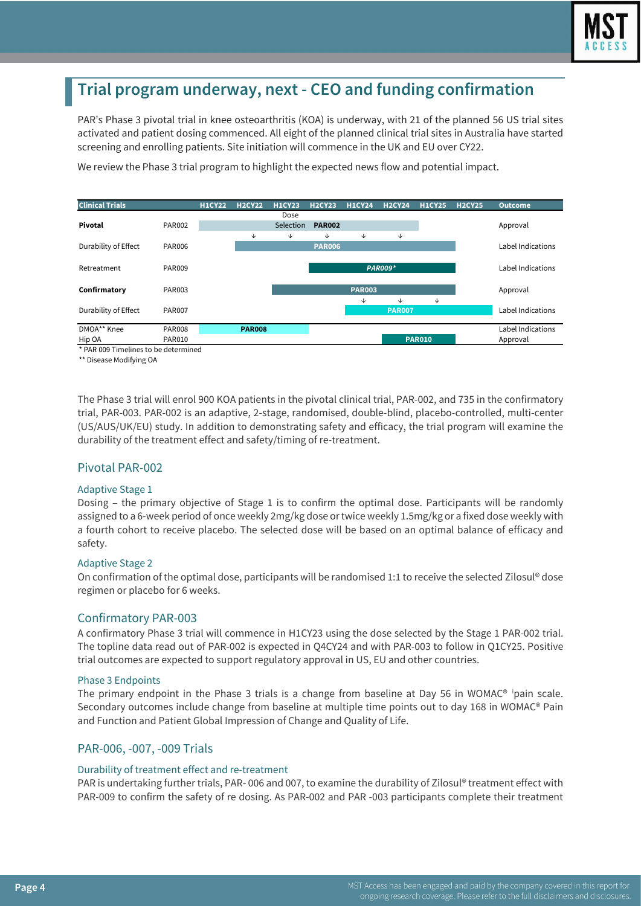

# **Trial program underway, next - CEO and funding confirmation**

PAR's Phase 3 pivotal trial in knee osteoarthritis (KOA) is underway, with 21 of the planned 56 US trial sites activated and patient dosing commenced. All eight of the planned clinical trial sites in Australia have started screening and enrolling patients. Site initiation will commence in the UK and EU over CY22.

We review the Phase 3 trial program to highlight the expected news flow and potential impact.



\* PAR 009 Timelines to be determined

\*\* Disease Modifying OA

The Phase 3 trial will enrol 900 KOA patients in the pivotal clinical trial, PAR-002, and 735 in the confirmatory trial, PAR-003. PAR-002 is an adaptive, 2-stage, randomised, double-blind, placebo-controlled, multi-center (US/AUS/UK/EU) study. In addition to demonstrating safety and efficacy, the trial program will examine the durability of the treatment effect and safety/timing of re-treatment.

#### Pivotal PAR-002

#### Adaptive Stage 1

Dosing – the primary objective of Stage 1 is to confirm the optimal dose. Participants will be randomly assigned to a 6-week period of once weekly 2mg/kg dose or twice weekly 1.5mg/kg or a fixed dose weekly with a fourth cohort to receive placebo. The selected dose will be based on an optimal balance of efficacy and safety.

#### Adaptive Stage 2

On confirmation of the optimal dose, participants will be randomised 1:1 to receive the selected Zilosul® dose regimen or placebo for 6 weeks.

#### Confirmatory PAR-003

A confirmatory Phase 3 trial will commence in H1CY23 using the dose selected by the Stage 1 PAR-002 trial. The topline data read out of PAR-002 is expected in Q4CY24 and with PAR-003 to follow in Q1CY25. Positive trial outcomes are expected to support regulatory approval in US, EU and other countries.

#### Phase 3 Endpoints

The pr[i](#page--1-0)mary endpoint in the Phase 3 trials is a change from baseline at Day 56 in WOMAC® ipain scale. Secondary outcomes include change from baseline at multiple time points out to day 168 in WOMAC® Pain and Function and Patient Global Impression of Change and Quality of Life.

#### PAR-006, -007, -009 Trials

#### Durability of treatment effect and re-treatment

PAR is undertaking further trials, PAR- 006 and 007, to examine the durability of Zilosul® treatment effect with PAR-009 to confirm the safety of re dosing. As PAR-002 and PAR -003 participants complete their treatment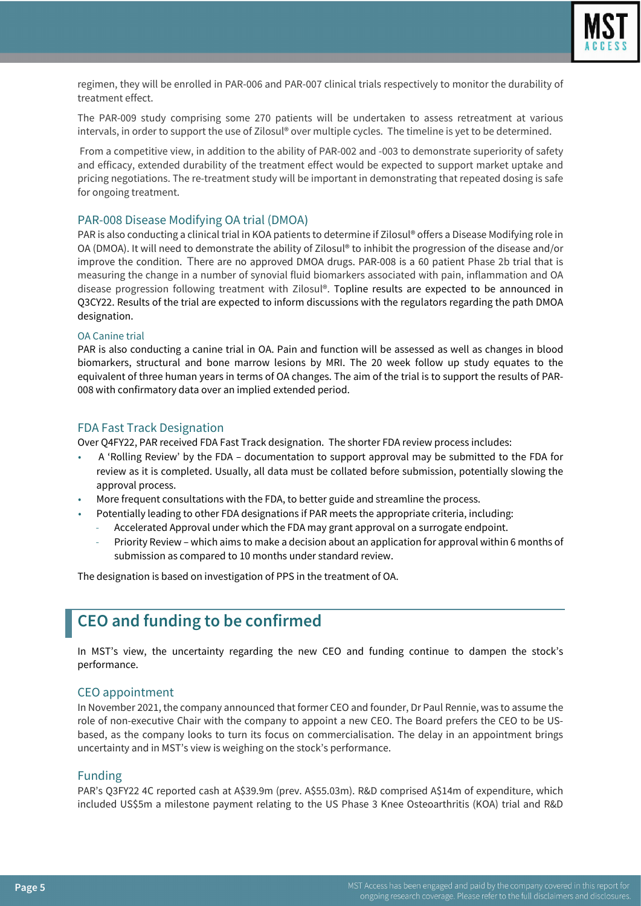

regimen, they will be enrolled in PAR-006 and PAR-007 clinical trials respectively to monitor the durability of treatment effect.

The PAR-009 study comprising some 270 patients will be undertaken to assess retreatment at various intervals, in order to support the use of Zilosul® over multiple cycles. The timeline is yet to be determined.

From a competitive view, in addition to the ability of PAR-002 and -003 to demonstrate superiority of safety and efficacy, extended durability of the treatment effect would be expected to support market uptake and pricing negotiations. The re-treatment study will be important in demonstrating that repeated dosing is safe for ongoing treatment.

#### PAR-008 Disease Modifying OA trial (DMOA)

PAR is also conducting a clinical trial in KOA patients to determine if Zilosul® offers a Disease Modifying role in OA (DMOA). It will need to demonstrate the ability of Zilosul® to inhibit the progression of the disease and/or improve the condition. There are no approved DMOA drugs. PAR-008 is a 60 patient Phase 2b trial that is measuring the change in a number of synovial fluid biomarkers associated with pain, inflammation and OA disease progression following treatment with Zilosul®. Topline results are expected to be announced in Q3CY22. Results of the trial are expected to inform discussions with the regulators regarding the path DMOA designation.

#### OA Canine trial

PAR is also conducting a canine trial in OA. Pain and function will be assessed as well as changes in blood biomarkers, structural and bone marrow lesions by MRI. The 20 week follow up study equates to the equivalent of three human years in terms of OA changes. The aim of the trial is to support the results of PAR-008 with confirmatory data over an implied extended period.

#### FDA Fast Track Designation

Over Q4FY22, PAR received FDA Fast Track designation. The shorter FDA review process includes:

- A 'Rolling Review' by the FDA documentation to support approval may be submitted to the FDA for review as it is completed. Usually, all data must be collated before submission, potentially slowing the approval process.
- More frequent consultations with the FDA, to better guide and streamline the process.
- Potentially leading to other FDA designations if PAR meets the appropriate criteria, including:
	- Accelerated Approval under which the FDA may grant approval on a surrogate endpoint.
	- Priority Review which aims to make a decision about an application for approval within 6 months of submission as compared to 10 months under standard review.

The designation is based on investigation of PPS in the treatment of OA.

# **CEO and funding to be confirmed**

In MST's view, the uncertainty regarding the new CEO and funding continue to dampen the stock's performance.

#### CEO appointment

In November 2021, the company announced that former CEO and founder, Dr Paul Rennie, was to assume the role of non-executive Chair with the company to appoint a new CEO. The Board prefers the CEO to be USbased, as the company looks to turn its focus on commercialisation. The delay in an appointment brings uncertainty and in MST's view is weighing on the stock's performance.

#### Funding

PAR's Q3FY22 4C reported cash at A\$39.9m (prev. A\$55.03m). R&D comprised A\$14m of expenditure, which included US\$5m a milestone payment relating to the US Phase 3 Knee Osteoarthritis (KOA) trial and R&D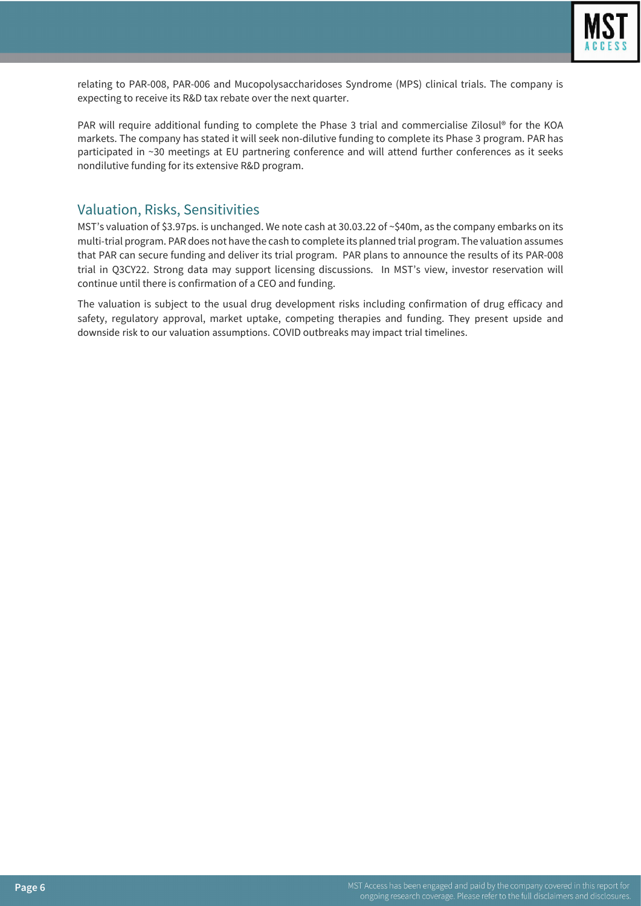

relating to PAR-008, PAR-006 and Mucopolysaccharidoses Syndrome (MPS) clinical trials. The company is expecting to receive its R&D tax rebate over the next quarter.

PAR will require additional funding to complete the Phase 3 trial and commercialise Zilosul® for the KOA markets. The company has stated it will seek non-dilutive funding to complete its Phase 3 program. PAR has participated in ~30 meetings at EU partnering conference and will attend further conferences as it seeks nondilutive funding for its extensive R&D program.

### Valuation, Risks, Sensitivities

MST's valuation of \$3.97ps. is unchanged. We note cash at 30.03.22 of ~\$40m, as the company embarks on its multi-trial program. PAR does not have the cash to complete its planned trial program. The valuation assumes that PAR can secure funding and deliver its trial program. PAR plans to announce the results of its PAR-008 trial in Q3CY22. Strong data may support licensing discussions. In MST's view, investor reservation will continue until there is confirmation of a CEO and funding.

The valuation is subject to the usual drug development risks including confirmation of drug efficacy and safety, regulatory approval, market uptake, competing therapies and funding. They present upside and downside risk to our valuation assumptions. COVID outbreaks may impact trial timelines.